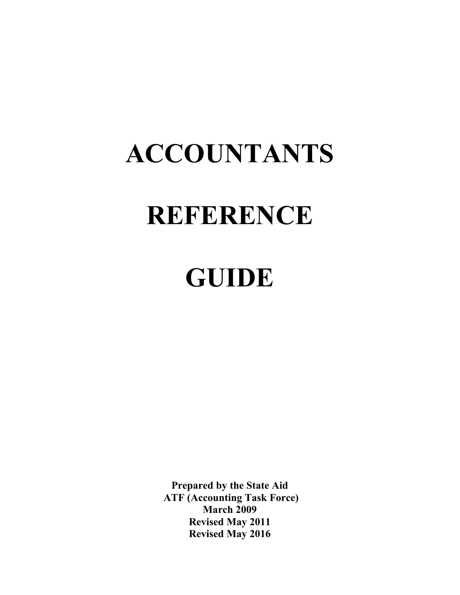# **ACCOUNTANTS REFERENCE**

## **GUIDE**

**Prepared by the State Aid ATF (Accounting Task Force) March 2009 Revised May 2011 Revised May 2016**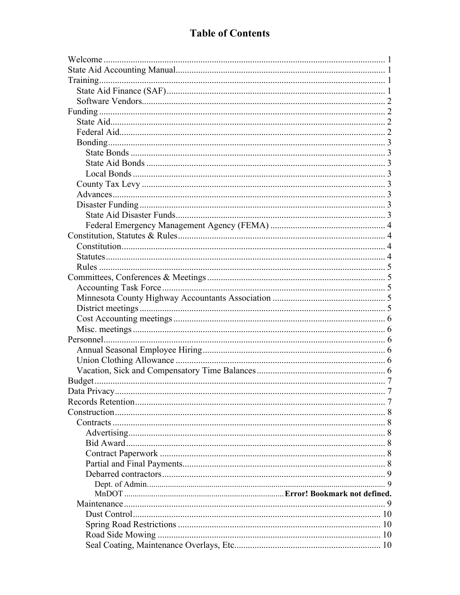| Data Privacy | -7 |
|--------------|----|
|              |    |
|              |    |
|              |    |
|              |    |
|              |    |
|              |    |
|              |    |
|              |    |
|              |    |
|              |    |
|              |    |
|              |    |
|              |    |
|              |    |
|              |    |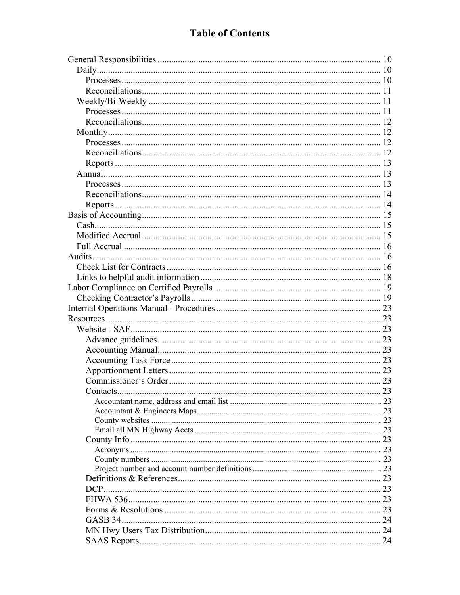#### **Table of Contents**

| Contacts. |  |
|-----------|--|
|           |  |
|           |  |
|           |  |
|           |  |
|           |  |
|           |  |
|           |  |
|           |  |
|           |  |
|           |  |
|           |  |
|           |  |
|           |  |
|           |  |
|           |  |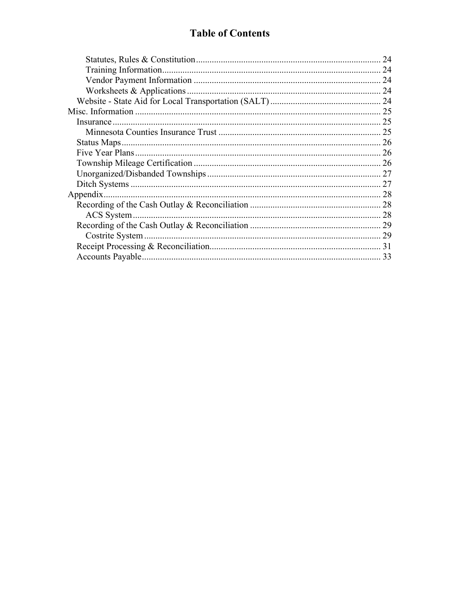#### **Table of Contents**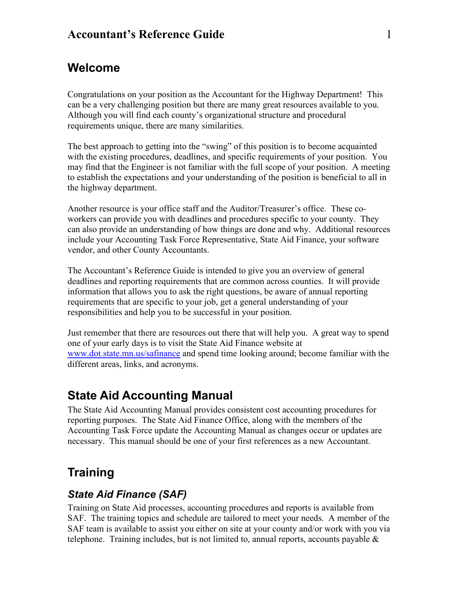## <span id="page-4-0"></span>**Welcome**

Congratulations on your position as the Accountant for the Highway Department! This can be a very challenging position but there are many great resources available to you. Although you will find each county's organizational structure and procedural requirements unique, there are many similarities.

The best approach to getting into the "swing" of this position is to become acquainted with the existing procedures, deadlines, and specific requirements of your position. You may find that the Engineer is not familiar with the full scope of your position. A meeting to establish the expectations and your understanding of the position is beneficial to all in the highway department.

Another resource is your office staff and the Auditor/Treasurer's office. These coworkers can provide you with deadlines and procedures specific to your county. They can also provide an understanding of how things are done and why. Additional resources include your Accounting Task Force Representative, State Aid Finance, your software vendor, and other County Accountants.

The Accountant's Reference Guide is intended to give you an overview of general deadlines and reporting requirements that are common across counties. It will provide information that allows you to ask the right questions, be aware of annual reporting requirements that are specific to your job, get a general understanding of your responsibilities and help you to be successful in your position.

Just remember that there are resources out there that will help you. A great way to spend one of your early days is to visit the State Aid Finance website at [www.dot.state.mn.us/safinance](http://www.dot.state.mn.us/safinance) and spend time looking around; become familiar with the different areas, links, and acronyms.

## <span id="page-4-1"></span>**State Aid Accounting Manual**

The State Aid Accounting Manual provides consistent cost accounting procedures for reporting purposes. The State Aid Finance Office, along with the members of the Accounting Task Force update the Accounting Manual as changes occur or updates are necessary. This manual should be one of your first references as a new Accountant.

## <span id="page-4-2"></span>**Training**

## <span id="page-4-3"></span>*State Aid Finance (SAF)*

Training on State Aid processes, accounting procedures and reports is available from SAF. The training topics and schedule are tailored to meet your needs. A member of the SAF team is available to assist you either on site at your county and/or work with you via telephone. Training includes, but is not limited to, annual reports, accounts payable  $\&$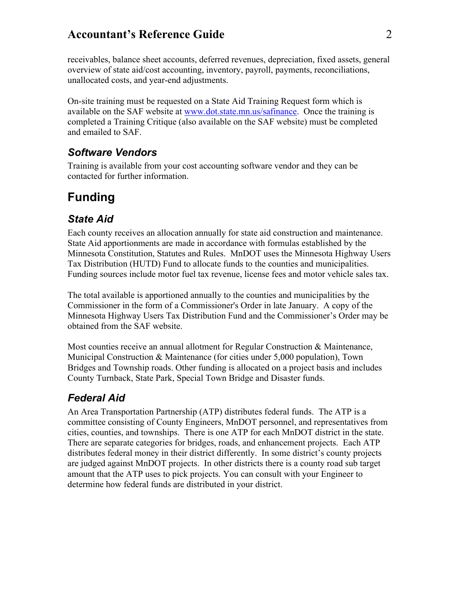receivables, balance sheet accounts, deferred revenues, depreciation, fixed assets, general overview of state aid/cost accounting, inventory, payroll, payments, reconciliations, unallocated costs, and year-end adjustments.

On-site training must be requested on a State Aid Training Request form which is available on the SAF website at [www.dot.state.mn.us/safinance.](http://www.dot.state.mn.us/safinance) Once the training is completed a Training Critique (also available on the SAF website) must be completed and emailed to SAF.

#### <span id="page-5-0"></span>*Software Vendors*

Training is available from your cost accounting software vendor and they can be contacted for further information.

## <span id="page-5-1"></span>**Funding**

#### <span id="page-5-2"></span>*State Aid*

Each county receives an allocation annually for state aid construction and maintenance. State Aid apportionments are made in accordance with formulas established by the Minnesota Constitution, Statutes and Rules. MnDOT uses the Minnesota Highway Users Tax Distribution (HUTD) Fund to allocate funds to the counties and municipalities. Funding sources include motor fuel tax revenue, license fees and motor vehicle sales tax.

The total available is apportioned annually to the counties and municipalities by the Commissioner in the form of a Commissioner's Order in late January. A copy of the Minnesota Highway Users Tax Distribution Fund and the Commissioner's Order may be obtained from the SAF website.

Most counties receive an annual allotment for Regular Construction & Maintenance, Municipal Construction & Maintenance (for cities under 5,000 population), Town Bridges and Township roads. Other funding is allocated on a project basis and includes County Turnback, State Park, Special Town Bridge and Disaster funds.

## <span id="page-5-3"></span>*Federal Aid*

An Area Transportation Partnership (ATP) distributes federal funds. The ATP is a committee consisting of County Engineers, MnDOT personnel, and representatives from cities, counties, and townships. There is one ATP for each MnDOT district in the state. There are separate categories for bridges, roads, and enhancement projects. Each ATP distributes federal money in their district differently. In some district's county projects are judged against MnDOT projects. In other districts there is a county road sub target amount that the ATP uses to pick projects. You can consult with your Engineer to determine how federal funds are distributed in your district.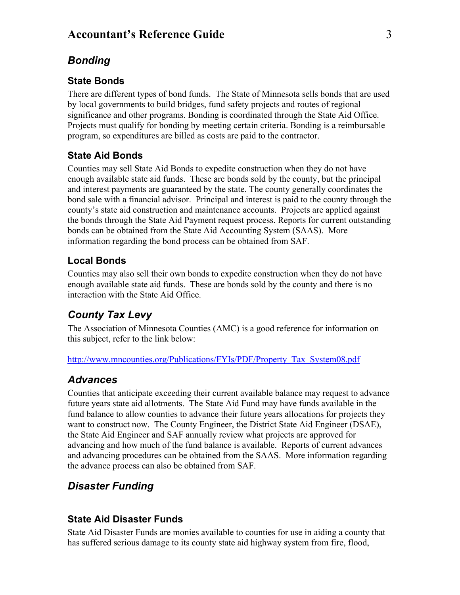#### <span id="page-6-0"></span>*Bonding*

#### <span id="page-6-1"></span>**State Bonds**

There are different types of bond funds. The State of Minnesota sells bonds that are used by local governments to build bridges, fund safety projects and routes of regional significance and other programs. Bonding is coordinated through the State Aid Office. Projects must qualify for bonding by meeting certain criteria. Bonding is a reimbursable program, so expenditures are billed as costs are paid to the contractor.

#### <span id="page-6-2"></span>**State Aid Bonds**

Counties may sell State Aid Bonds to expedite construction when they do not have enough available state aid funds. These are bonds sold by the county, but the principal and interest payments are guaranteed by the state. The county generally coordinates the bond sale with a financial advisor. Principal and interest is paid to the county through the county's state aid construction and maintenance accounts. Projects are applied against the bonds through the State Aid Payment request process. Reports for current outstanding bonds can be obtained from the State Aid Accounting System (SAAS). More information regarding the bond process can be obtained from SAF.

#### <span id="page-6-3"></span>**Local Bonds**

Counties may also sell their own bonds to expedite construction when they do not have enough available state aid funds. These are bonds sold by the county and there is no interaction with the State Aid Office.

#### <span id="page-6-4"></span>*County Tax Levy*

The Association of Minnesota Counties (AMC) is a good reference for information on this subject, refer to the link below:

<span id="page-6-5"></span>[http://www.mncounties.org/Publications/FYIs/PDF/Property\\_Tax\\_System08.pdf](http://www.mncounties.org/Publications/FYIs/PDF/Property_Tax_System08.pdf)

#### *Advances*

Counties that anticipate exceeding their current available balance may request to advance future years state aid allotments. The State Aid Fund may have funds available in the fund balance to allow counties to advance their future years allocations for projects they want to construct now. The County Engineer, the District State Aid Engineer (DSAE), the State Aid Engineer and SAF annually review what projects are approved for advancing and how much of the fund balance is available. Reports of current advances and advancing procedures can be obtained from the SAAS. More information regarding the advance process can also be obtained from SAF.

#### <span id="page-6-6"></span>*Disaster Funding*

#### <span id="page-6-7"></span>**State Aid Disaster Funds**

State Aid Disaster Funds are monies available to counties for use in aiding a county that has suffered serious damage to its county state aid highway system from fire, flood,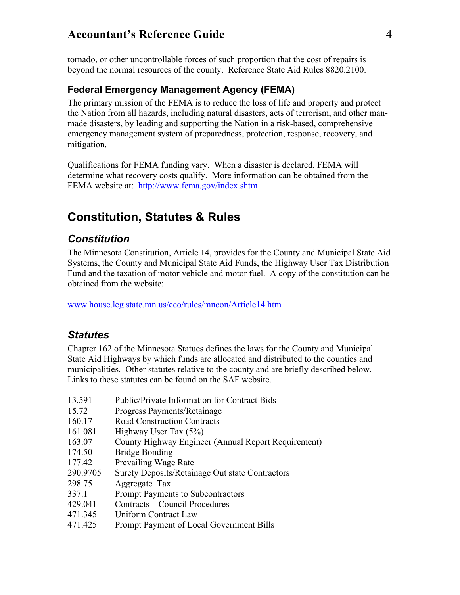tornado, or other uncontrollable forces of such proportion that the cost of repairs is beyond the normal resources of the county. Reference State Aid Rules 8820.2100.

#### <span id="page-7-0"></span>**Federal Emergency Management Agency (FEMA)**

The primary mission of the FEMA is to reduce the loss of life and property and protect the Nation from all hazards, including natural disasters, acts of terrorism, and other manmade disasters, by leading and supporting the Nation in a risk-based, comprehensive emergency management system of preparedness, protection, response, recovery, and mitigation.

Qualifications for FEMA funding vary. When a disaster is declared, FEMA will determine what recovery costs qualify. More information can be obtained from the FEMA website at: <http://www.fema.gov/index.shtm>

## <span id="page-7-1"></span>**Constitution, Statutes & Rules**

#### <span id="page-7-2"></span>*Constitution*

The Minnesota Constitution, Article 14, provides for the County and Municipal State Aid Systems, the County and Municipal State Aid Funds, the Highway User Tax Distribution Fund and the taxation of motor vehicle and motor fuel. A copy of the constitution can be obtained from the website:

[www.house.leg.state.mn.us/cco/rules/mncon/Article14.htm](http://www.house.leg.state.mn.us/cco/rules/mncon/Article14.htm)

#### <span id="page-7-3"></span>*Statutes*

Chapter 162 of the Minnesota Statues defines the laws for the County and Municipal State Aid Highways by which funds are allocated and distributed to the counties and municipalities. Other statutes relative to the county and are briefly described below. Links to these statutes can be found on the SAF website.

- 13.591 Public/Private Information for Contract Bids
- 15.72 Progress Payments/Retainage
- 160.17 Road Construction Contracts
- 161.081 Highway User Tax (5%)
- 163.07 County Highway Engineer (Annual Report Requirement)
- 174.50 Bridge Bonding
- 177.42 Prevailing Wage Rate
- 290.9705 Surety Deposits/Retainage Out state Contractors
- 298.75 Aggregate Tax
- 337.1 Prompt Payments to Subcontractors
- 429.041 Contracts Council Procedures
- 471.345 Uniform Contract Law
- 471.425 Prompt Payment of Local Government Bills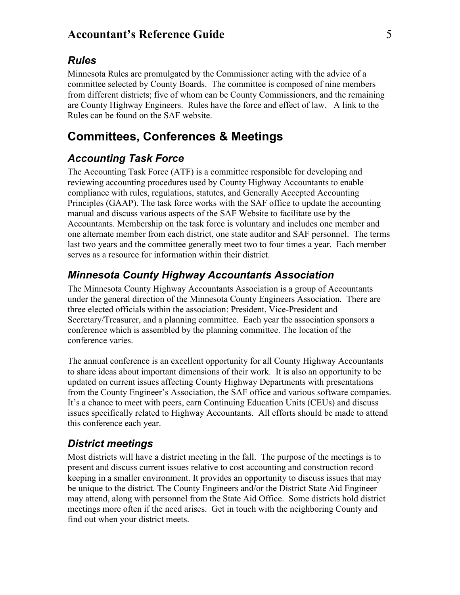#### <span id="page-8-0"></span>*Rules*

Minnesota Rules are promulgated by the Commissioner acting with the advice of a committee selected by County Boards. The committee is composed of nine members from different districts; five of whom can be County Commissioners, and the remaining are County Highway Engineers. Rules have the force and effect of law. A link to the Rules can be found on the SAF website.

## <span id="page-8-1"></span>**Committees, Conferences & Meetings**

#### <span id="page-8-2"></span>*Accounting Task Force*

The Accounting Task Force (ATF) is a committee responsible for developing and reviewing accounting procedures used by County Highway Accountants to enable compliance with rules, regulations, statutes, and Generally Accepted Accounting Principles (GAAP). The task force works with the SAF office to update the accounting manual and discuss various aspects of the SAF Website to facilitate use by the Accountants. Membership on the task force is voluntary and includes one member and one alternate member from each district, one state auditor and SAF personnel. The terms last two years and the committee generally meet two to four times a year. Each member serves as a resource for information within their district.

#### <span id="page-8-3"></span>*Minnesota County Highway Accountants Association*

The Minnesota County Highway Accountants Association is a group of Accountants under the general direction of the Minnesota County Engineers Association. There are three elected officials within the association: President, Vice-President and Secretary/Treasurer, and a planning committee. Each year the association sponsors a conference which is assembled by the planning committee. The location of the conference varies.

The annual conference is an excellent opportunity for all County Highway Accountants to share ideas about important dimensions of their work. It is also an opportunity to be updated on current issues affecting County Highway Departments with presentations from the County Engineer's Association, the SAF office and various software companies. It's a chance to meet with peers, earn Continuing Education Units (CEUs) and discuss issues specifically related to Highway Accountants. All efforts should be made to attend this conference each year.

#### <span id="page-8-4"></span>*District meetings*

Most districts will have a district meeting in the fall. The purpose of the meetings is to present and discuss current issues relative to cost accounting and construction record keeping in a smaller environment. It provides an opportunity to discuss issues that may be unique to the district. The County Engineers and/or the District State Aid Engineer may attend, along with personnel from the State Aid Office. Some districts hold district meetings more often if the need arises. Get in touch with the neighboring County and find out when your district meets.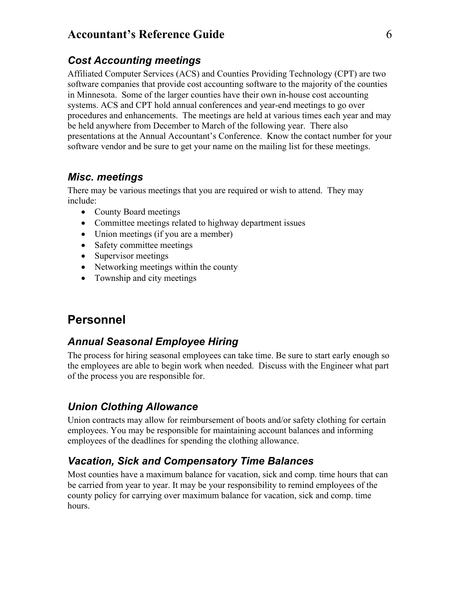#### <span id="page-9-0"></span>*Cost Accounting meetings*

Affiliated Computer Services (ACS) and Counties Providing Technology (CPT) are two software companies that provide cost accounting software to the majority of the counties in Minnesota. Some of the larger counties have their own in-house cost accounting systems. ACS and CPT hold annual conferences and year-end meetings to go over procedures and enhancements. The meetings are held at various times each year and may be held anywhere from December to March of the following year. There also presentations at the Annual Accountant's Conference. Know the contact number for your software vendor and be sure to get your name on the mailing list for these meetings.

#### <span id="page-9-1"></span>*Misc. meetings*

There may be various meetings that you are required or wish to attend. They may include:

- County Board meetings
- Committee meetings related to highway department issues
- Union meetings (if you are a member)
- Safety committee meetings
- Supervisor meetings
- Networking meetings within the county
- Township and city meetings

## <span id="page-9-2"></span>**Personnel**

## <span id="page-9-3"></span>*Annual Seasonal Employee Hiring*

The process for hiring seasonal employees can take time. Be sure to start early enough so the employees are able to begin work when needed. Discuss with the Engineer what part of the process you are responsible for.

## <span id="page-9-4"></span>*Union Clothing Allowance*

Union contracts may allow for reimbursement of boots and/or safety clothing for certain employees. You may be responsible for maintaining account balances and informing employees of the deadlines for spending the clothing allowance.

## <span id="page-9-5"></span>*Vacation, Sick and Compensatory Time Balances*

Most counties have a maximum balance for vacation, sick and comp. time hours that can be carried from year to year. It may be your responsibility to remind employees of the county policy for carrying over maximum balance for vacation, sick and comp. time hours.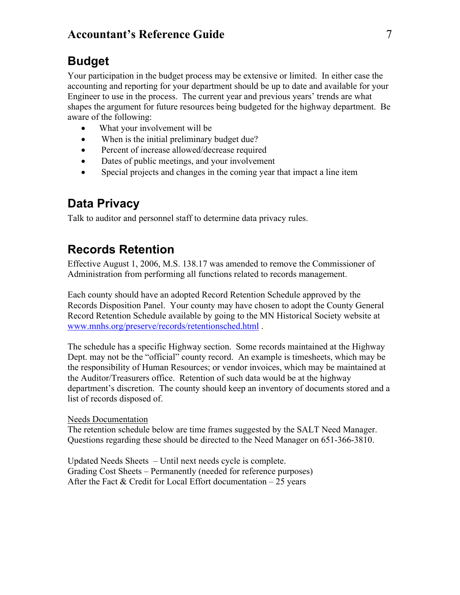## <span id="page-10-0"></span>**Budget**

Your participation in the budget process may be extensive or limited. In either case the accounting and reporting for your department should be up to date and available for your Engineer to use in the process. The current year and previous years' trends are what shapes the argument for future resources being budgeted for the highway department. Be aware of the following:

- What your involvement will be
- When is the initial preliminary budget due?
- Percent of increase allowed/decrease required
- Dates of public meetings, and your involvement
- Special projects and changes in the coming year that impact a line item

## <span id="page-10-1"></span>**Data Privacy**

Talk to auditor and personnel staff to determine data privacy rules.

## <span id="page-10-2"></span>**Records Retention**

Effective August 1, 2006, M.S. 138.17 was amended to remove the Commissioner of Administration from performing all functions related to records management.

Each county should have an adopted Record Retention Schedule approved by the Records Disposition Panel. Your county may have chosen to adopt the County General Record Retention Schedule available by going to the MN Historical Society website at [www.mnhs.org/preserve/records/retentionsched.html](http://www.mnhs.org/preserve/records/retentionsched.html) .

The schedule has a specific Highway section. Some records maintained at the Highway Dept. may not be the "official" county record. An example is timesheets, which may be the responsibility of Human Resources; or vendor invoices, which may be maintained at the Auditor/Treasurers office. Retention of such data would be at the highway department's discretion. The county should keep an inventory of documents stored and a list of records disposed of.

#### Needs Documentation

The retention schedule below are time frames suggested by the SALT Need Manager. Questions regarding these should be directed to the Need Manager on 651-366-3810.

Updated Needs Sheets – Until next needs cycle is complete. Grading Cost Sheets – Permanently (needed for reference purposes) After the Fact  $&$  Credit for Local Effort documentation  $-25$  years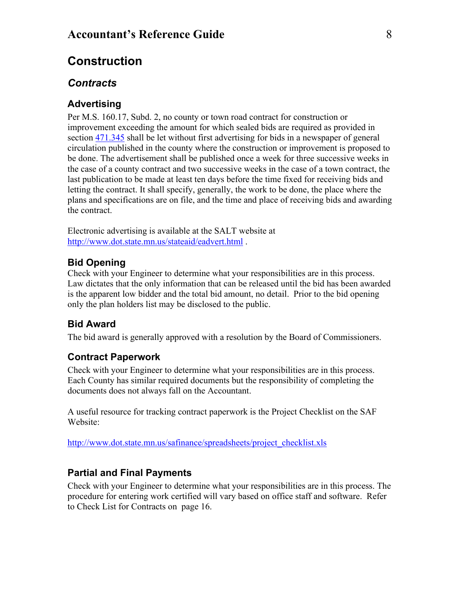## <span id="page-11-0"></span>**Construction**

#### <span id="page-11-1"></span>*Contracts*

#### <span id="page-11-2"></span>**Advertising**

Per M.S. 160.17, Subd. 2, no county or town road contract for construction or improvement exceeding the amount for which sealed bids are required as provided in section [471.345](https://www.revisor.leg.state.mn.us/bin/getpub.php?type=s&num=471.345&year=2007) shall be let without first advertising for bids in a newspaper of general circulation published in the county where the construction or improvement is proposed to be done. The advertisement shall be published once a week for three successive weeks in the case of a county contract and two successive weeks in the case of a town contract, the last publication to be made at least ten days before the time fixed for receiving bids and letting the contract. It shall specify, generally, the work to be done, the place where the plans and specifications are on file, and the time and place of receiving bids and awarding the contract.

Electronic advertising is available at the SALT website at <http://www.dot.state.mn.us/stateaid/eadvert.html> .

#### **Bid Opening**

Check with your Engineer to determine what your responsibilities are in this process. Law dictates that the only information that can be released until the bid has been awarded is the apparent low bidder and the total bid amount, no detail. Prior to the bid opening only the plan holders list may be disclosed to the public.

#### <span id="page-11-3"></span>**Bid Award**

The bid award is generally approved with a resolution by the Board of Commissioners.

#### <span id="page-11-4"></span>**Contract Paperwork**

Check with your Engineer to determine what your responsibilities are in this process. Each County has similar required documents but the responsibility of completing the documents does not always fall on the Accountant.

A useful resource for tracking contract paperwork is the Project Checklist on the SAF Website:

[http://www.dot.state.mn.us/safinance/spreadsheets/project\\_checklist.xls](http://www.dot.state.mn.us/safinance/spreadsheets/project_checklist.xls)

#### <span id="page-11-5"></span>**Partial and Final Payments**

Check with your Engineer to determine what your responsibilities are in this process. The procedure for entering work certified will vary based on office staff and software. Refer to Check List for Contracts on page [16.](#page-19-2)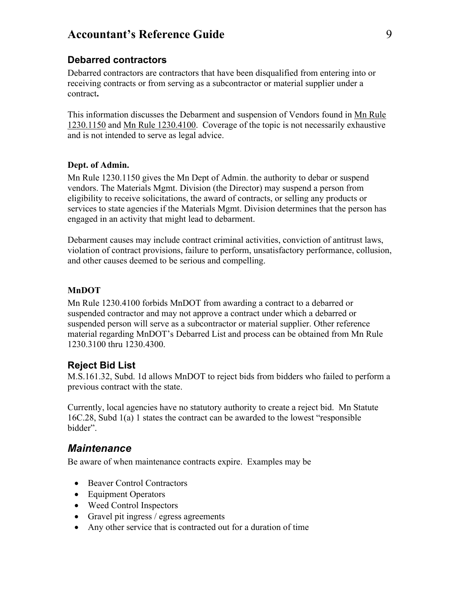#### <span id="page-12-0"></span>**Debarred contractors**

Debarred contractors are contractors that have been disqualified from entering into or receiving contracts or from serving as a subcontractor or material supplier under a contract**.**

This information discusses the Debarment and suspension of Vendors found in Mn Rule 1230.1150 and Mn Rule 1230.4100. Coverage of the topic is not necessarily exhaustive and is not intended to serve as legal advice.

#### <span id="page-12-1"></span>**Dept. of Admin.**

Mn Rule 1230.1150 gives the Mn Dept of Admin. the authority to debar or suspend vendors. The Materials Mgmt. Division (the Director) may suspend a person from eligibility to receive solicitations, the award of contracts, or selling any products or services to state agencies if the Materials Mgmt. Division determines that the person has engaged in an activity that might lead to debarment.

Debarment causes may include contract criminal activities, conviction of antitrust laws, violation of contract provisions, failure to perform, unsatisfactory performance, collusion, and other causes deemed to be serious and compelling.

#### **MnDOT**

Mn Rule 1230.4100 forbids MnDOT from awarding a contract to a debarred or suspended contractor and may not approve a contract under which a debarred or suspended person will serve as a subcontractor or material supplier. Other reference material regarding MnDOT's Debarred List and process can be obtained from Mn Rule 1230.3100 thru 1230.4300.

#### **Reject Bid List**

M.S.161.32, Subd. 1d allows MnDOT to reject bids from bidders who failed to perform a previous contract with the state.

Currently, local agencies have no statutory authority to create a reject bid. Mn Statute 16C.28, Subd 1(a) 1 states the contract can be awarded to the lowest "responsible bidder".

#### <span id="page-12-2"></span>*Maintenance*

Be aware of when maintenance contracts expire. Examples may be

- Beaver Control Contractors
- Equipment Operators
- Weed Control Inspectors
- Gravel pit ingress / egress agreements
- Any other service that is contracted out for a duration of time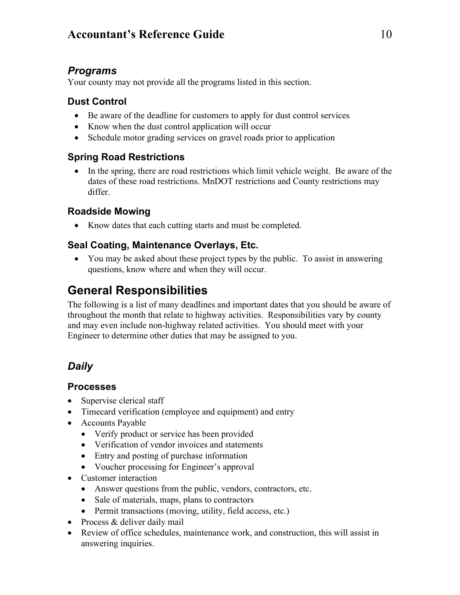## *Programs*

Your county may not provide all the programs listed in this section.

#### <span id="page-13-0"></span>**Dust Control**

- Be aware of the deadline for customers to apply for dust control services
- Know when the dust control application will occur
- Schedule motor grading services on gravel roads prior to application

#### <span id="page-13-1"></span>**Spring Road Restrictions**

• In the spring, there are road restrictions which limit vehicle weight. Be aware of the dates of these road restrictions. MnDOT restrictions and County restrictions may differ.

#### <span id="page-13-2"></span>**Roadside Mowing**

• Know dates that each cutting starts and must be completed.

#### <span id="page-13-3"></span>**Seal Coating, Maintenance Overlays, Etc.**

• You may be asked about these project types by the public. To assist in answering questions, know where and when they will occur.

## <span id="page-13-4"></span>**General Responsibilities**

The following is a list of many deadlines and important dates that you should be aware of throughout the month that relate to highway activities. Responsibilities vary by county and may even include non-highway related activities. You should meet with your Engineer to determine other duties that may be assigned to you.

## <span id="page-13-5"></span>*Daily*

#### <span id="page-13-6"></span>**Processes**

- Supervise clerical staff
- Timecard verification (employee and equipment) and entry
- Accounts Payable
	- Verify product or service has been provided
	- Verification of vendor invoices and statements
	- Entry and posting of purchase information
	- Voucher processing for Engineer's approval
- Customer interaction
	- Answer questions from the public, vendors, contractors, etc.
	- Sale of materials, maps, plans to contractors
	- Permit transactions (moving, utility, field access, etc.)
- Process & deliver daily mail
- Review of office schedules, maintenance work, and construction, this will assist in answering inquiries.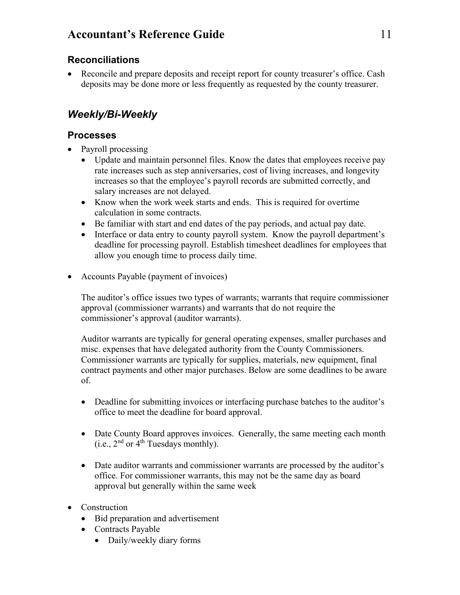#### <span id="page-14-0"></span>**Reconciliations**

• Reconcile and prepare deposits and receipt report for county treasurer's office. Cash deposits may be done more or less frequently as requested by the county treasurer.

## <span id="page-14-1"></span>*Weekly/Bi-Weekly*

#### <span id="page-14-2"></span>**Processes**

- Payroll processing
	- Update and maintain personnel files. Know the dates that employees receive pay rate increases such as step anniversaries, cost of living increases, and longevity increases so that the employee's payroll records are submitted correctly, and salary increases are not delayed.
	- Know when the work week starts and ends. This is required for overtime calculation in some contracts.
	- Be familiar with start and end dates of the pay periods, and actual pay date.
	- Interface or data entry to county payroll system. Know the payroll department's deadline for processing payroll. Establish timesheet deadlines for employees that allow you enough time to process daily time.
- Accounts Payable (payment of invoices)

The auditor's office issues two types of warrants; warrants that require commissioner approval (commissioner warrants) and warrants that do not require the commissioner's approval (auditor warrants).

Auditor warrants are typically for general operating expenses, smaller purchases and misc. expenses that have delegated authority from the County Commissioners. Commissioner warrants are typically for supplies, materials, new equipment, final contract payments and other major purchases. Below are some deadlines to be aware of.

- Deadline for submitting invoices or interfacing purchase batches to the auditor's office to meet the deadline for board approval.
- Date County Board approves invoices. Generally, the same meeting each month (i.e.,  $2<sup>nd</sup>$  or  $4<sup>th</sup>$  Tuesdays monthly).
- Date auditor warrants and commissioner warrants are processed by the auditor's office. For commissioner warrants, this may not be the same day as board approval but generally within the same week
- Construction
	- Bid preparation and advertisement
	- Contracts Payable
		- Daily/weekly diary forms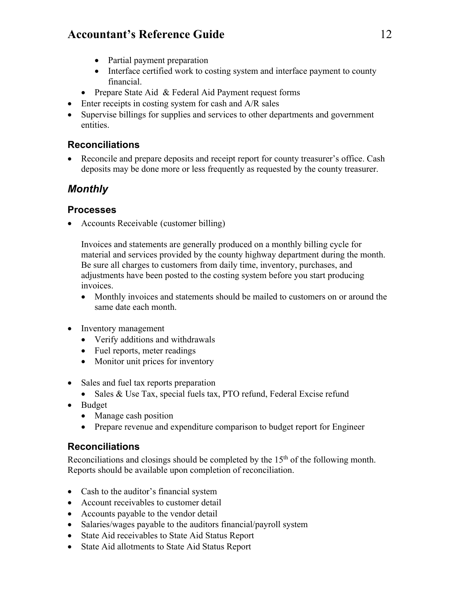- Partial payment preparation
- Interface certified work to costing system and interface payment to county financial.
- Prepare State Aid & Federal Aid Payment request forms
- Enter receipts in costing system for cash and A/R sales
- Supervise billings for supplies and services to other departments and government entities.

#### <span id="page-15-0"></span>**Reconciliations**

• Reconcile and prepare deposits and receipt report for county treasurer's office. Cash deposits may be done more or less frequently as requested by the county treasurer.

## <span id="page-15-1"></span>*Monthly*

#### <span id="page-15-2"></span>**Processes**

• Accounts Receivable (customer billing)

Invoices and statements are generally produced on a monthly billing cycle for material and services provided by the county highway department during the month. Be sure all charges to customers from daily time, inventory, purchases, and adjustments have been posted to the costing system before you start producing invoices.

- Monthly invoices and statements should be mailed to customers on or around the same date each month.
- Inventory management
	- Verify additions and withdrawals
	- Fuel reports, meter readings
	- Monitor unit prices for inventory
- Sales and fuel tax reports preparation
	- Sales & Use Tax, special fuels tax, PTO refund, Federal Excise refund
- Budget
	- Manage cash position
	- Prepare revenue and expenditure comparison to budget report for Engineer

#### <span id="page-15-3"></span>**Reconciliations**

Reconciliations and closings should be completed by the  $15<sup>th</sup>$  of the following month. Reports should be available upon completion of reconciliation.

- Cash to the auditor's financial system
- Account receivables to customer detail
- Accounts payable to the vendor detail
- Salaries/wages payable to the auditors financial/payroll system
- State Aid receivables to State Aid Status Report
- State Aid allotments to State Aid Status Report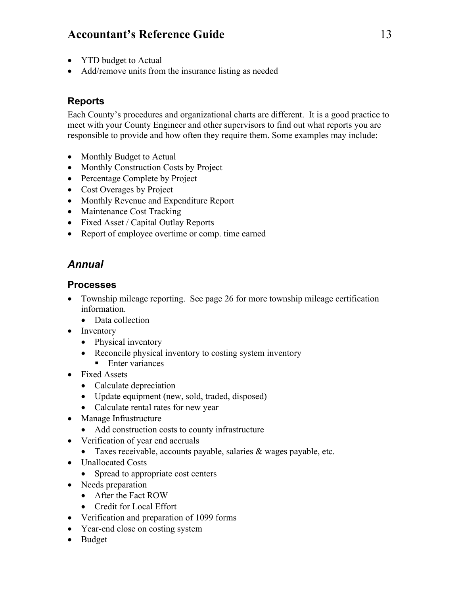- YTD budget to Actual
- Add/remove units from the insurance listing as needed

#### <span id="page-16-0"></span>**Reports**

Each County's procedures and organizational charts are different. It is a good practice to meet with your County Engineer and other supervisors to find out what reports you are responsible to provide and how often they require them. Some examples may include:

- Monthly Budget to Actual
- Monthly Construction Costs by Project
- Percentage Complete by Project
- Cost Overages by Project
- Monthly Revenue and Expenditure Report
- Maintenance Cost Tracking
- Fixed Asset / Capital Outlay Reports
- Report of employee overtime or comp. time earned

## <span id="page-16-1"></span>*Annual*

#### <span id="page-16-2"></span>**Processes**

- Township mileage reporting. See page [26](#page-29-3) for more township mileage certification information.
	- Data collection
- Inventory
	- Physical inventory
	- Reconcile physical inventory to costing system inventory
		- $\blacksquare$  Enter variances
- Fixed Assets
	- Calculate depreciation
	- Update equipment (new, sold, traded, disposed)
	- Calculate rental rates for new year
- Manage Infrastructure
	- Add construction costs to county infrastructure
- Verification of year end accruals
	- Taxes receivable, accounts payable, salaries & wages payable, etc.
- Unallocated Costs
	- Spread to appropriate cost centers
- Needs preparation
	- After the Fact ROW
	- Credit for Local Effort
- Verification and preparation of 1099 forms
- Year-end close on costing system
- Budget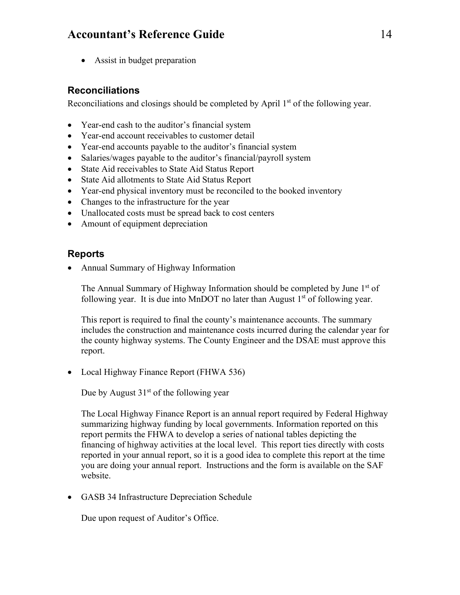• Assist in budget preparation

#### <span id="page-17-0"></span>**Reconciliations**

Reconciliations and closings should be completed by April  $1<sup>st</sup>$  of the following year.

- Year-end cash to the auditor's financial system
- Year-end account receivables to customer detail
- Year-end accounts payable to the auditor's financial system
- Salaries/wages payable to the auditor's financial/payroll system
- State Aid receivables to State Aid Status Report
- State Aid allotments to State Aid Status Report
- Year-end physical inventory must be reconciled to the booked inventory
- Changes to the infrastructure for the year
- Unallocated costs must be spread back to cost centers
- Amount of equipment depreciation

#### <span id="page-17-1"></span>**Reports**

• Annual Summary of Highway Information

The Annual Summary of Highway Information should be completed by June  $1<sup>st</sup>$  of following year. It is due into MnDOT no later than August  $1<sup>st</sup>$  of following year.

This report is required to final the county's maintenance accounts. The summary includes the construction and maintenance costs incurred during the calendar year for the county highway systems. The County Engineer and the DSAE must approve this report.

• Local Highway Finance Report (FHWA 536)

Due by August  $31<sup>st</sup>$  of the following year

The Local Highway Finance Report is an annual report required by Federal Highway summarizing highway funding by local governments. Information reported on this report permits the FHWA to develop a series of national tables depicting the financing of highway activities at the local level. This report ties directly with costs reported in your annual report, so it is a good idea to complete this report at the time you are doing your annual report. Instructions and the form is available on the SAF website.

• GASB 34 Infrastructure Depreciation Schedule

Due upon request of Auditor's Office.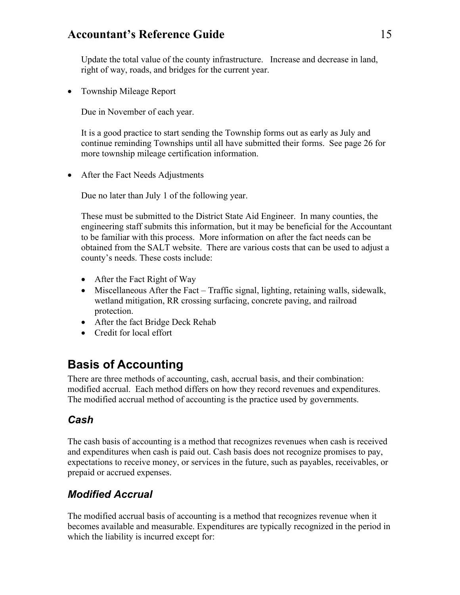Update the total value of the county infrastructure. Increase and decrease in land, right of way, roads, and bridges for the current year.

• Township Mileage Report

Due in November of each year.

It is a good practice to start sending the Township forms out as early as July and continue reminding Townships until all have submitted their forms. See page [26](#page-29-3) for more township mileage certification information.

• After the Fact Needs Adjustments

Due no later than July 1 of the following year.

These must be submitted to the District State Aid Engineer. In many counties, the engineering staff submits this information, but it may be beneficial for the Accountant to be familiar with this process. More information on after the fact needs can be obtained from the SALT website. There are various costs that can be used to adjust a county's needs. These costs include:

- After the Fact Right of Way
- Miscellaneous After the Fact Traffic signal, lighting, retaining walls, sidewalk, wetland mitigation, RR crossing surfacing, concrete paving, and railroad protection.
- After the fact Bridge Deck Rehab
- Credit for local effort

## <span id="page-18-0"></span>**Basis of Accounting**

There are three methods of accounting, cash, accrual basis, and their combination: modified accrual. Each method differs on how they record revenues and expenditures. The modified accrual method of accounting is the practice used by governments.

#### <span id="page-18-1"></span>*Cash*

The cash basis of accounting is a method that recognizes revenues when cash is received and expenditures when cash is paid out. Cash basis does not recognize promises to pay, expectations to receive money, or services in the future, such as payables, receivables, or prepaid or accrued expenses.

## <span id="page-18-2"></span>*Modified Accrual*

The modified accrual basis of accounting is a method that recognizes revenue when it becomes available and measurable. Expenditures are typically recognized in the period in which the liability is incurred except for: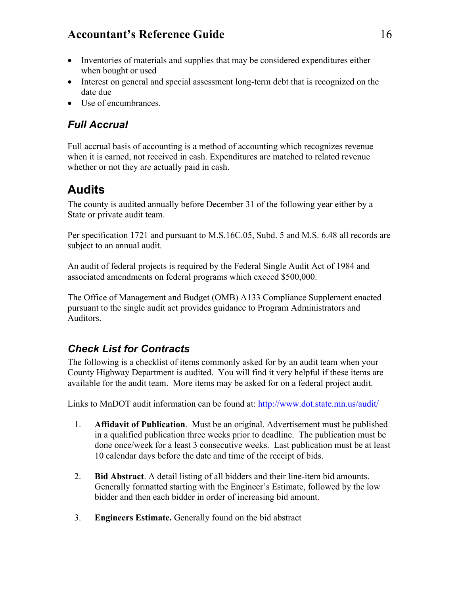- Inventories of materials and supplies that may be considered expenditures either when bought or used
- Interest on general and special assessment long-term debt that is recognized on the date due
- Use of encumbrances.

## <span id="page-19-0"></span>*Full Accrual*

Full accrual basis of accounting is a method of accounting which recognizes revenue when it is earned, not received in cash. Expenditures are matched to related revenue whether or not they are actually paid in cash.

## <span id="page-19-1"></span>**Audits**

The county is audited annually before December 31 of the following year either by a State or private audit team.

Per specification 1721 and pursuant to M.S.16C.05, Subd. 5 and M.S. 6.48 all records are subject to an annual audit.

An audit of federal projects is required by the Federal Single Audit Act of 1984 and associated amendments on federal programs which exceed \$500,000.

The Office of Management and Budget (OMB) A133 Compliance Supplement enacted pursuant to the single audit act provides guidance to Program Administrators and Auditors.

## <span id="page-19-2"></span>*Check List for Contracts*

The following is a checklist of items commonly asked for by an audit team when your County Highway Department is audited. You will find it very helpful if these items are available for the audit team. More items may be asked for on a federal project audit.

Links to MnDOT audit information can be found at:<http://www.dot.state.mn.us/audit/>

- 1. **Affidavit of Publication**. Must be an original. Advertisement must be published in a qualified publication three weeks prior to deadline. The publication must be done once/week for a least 3 consecutive weeks. Last publication must be at least 10 calendar days before the date and time of the receipt of bids.
- 2. **Bid Abstract**. A detail listing of all bidders and their line-item bid amounts. Generally formatted starting with the Engineer's Estimate, followed by the low bidder and then each bidder in order of increasing bid amount.
- 3. **Engineers Estimate.** Generally found on the bid abstract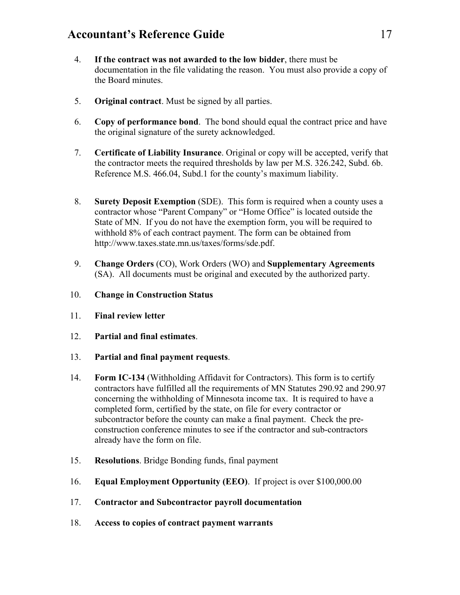- 4. **If the contract was not awarded to the low bidder**, there must be documentation in the file validating the reason. You must also provide a copy of the Board minutes.
- 5. **Original contract**. Must be signed by all parties.
- 6. **Copy of performance bond**. The bond should equal the contract price and have the original signature of the surety acknowledged.
- 7. **Certificate of Liability Insurance**. Original or copy will be accepted, verify that the contractor meets the required thresholds by law per M.S. 326.242, Subd. 6b. Reference M.S. 466.04, Subd.1 for the county's maximum liability.
- 8. **Surety Deposit Exemption** (SDE). This form is required when a county uses a contractor whose "Parent Company" or "Home Office" is located outside the State of MN. If you do not have the exemption form, you will be required to withhold 8% of each contract payment. The form can be obtained from http://www.taxes.state.mn.us/taxes/forms/sde.pdf.
- 9. **Change Orders** (CO), Work Orders (WO) and **Supplementary Agreements** (SA). All documents must be original and executed by the authorized party.
- 10. **Change in Construction Status**
- 11. **Final review letter**
- 12. **Partial and final estimates**.
- 13. **Partial and final payment requests**.
- 14. **Form IC-134** (Withholding Affidavit for Contractors). This form is to certify contractors have fulfilled all the requirements of MN Statutes 290.92 and 290.97 concerning the withholding of Minnesota income tax. It is required to have a completed form, certified by the state, on file for every contractor or subcontractor before the county can make a final payment. Check the preconstruction conference minutes to see if the contractor and sub-contractors already have the form on file.
- 15. **Resolutions**. Bridge Bonding funds, final payment
- 16. **Equal Employment Opportunity (EEO)**. If project is over \$100,000.00
- 17. **Contractor and Subcontractor payroll documentation**
- 18. **Access to copies of contract payment warrants**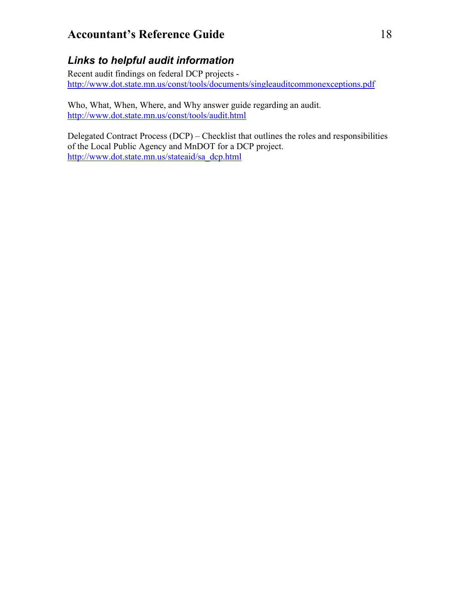## <span id="page-21-0"></span>*Links to helpful audit information*

Recent audit findings on federal DCP projects <http://www.dot.state.mn.us/const/tools/documents/singleauditcommonexceptions.pdf>

Who, What, When, Where, and Why answer guide regarding an audit. <http://www.dot.state.mn.us/const/tools/audit.html>

Delegated Contract Process (DCP) – Checklist that outlines the roles and responsibilities of the Local Public Agency and MnDOT for a DCP project. [http://www.dot.state.mn.us/stateaid/sa\\_dcp.html](http://www.dot.state.mn.us/stateaid/sa_dcp.html)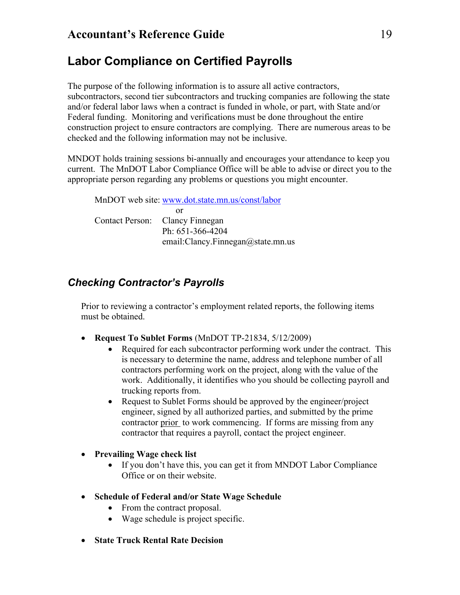## <span id="page-22-0"></span>**Labor Compliance on Certified Payrolls**

The purpose of the following information is to assure all active contractors, subcontractors, second tier subcontractors and trucking companies are following the state and/or federal labor laws when a contract is funded in whole, or part, with State and/or Federal funding. Monitoring and verifications must be done throughout the entire construction project to ensure contractors are complying. There are numerous areas to be checked and the following information may not be inclusive.

MNDOT holds training sessions bi-annually and encourages your attendance to keep you current. The MnDOT Labor Compliance Office will be able to advise or direct you to the appropriate person regarding any problems or questions you might encounter.

MnDOT web site: [www.dot.state.mn.us/const/labor](http://www.dot.state.mn.us/const/labor) or Contact Person: Clancy Finnegan Ph: 651-366-4204 email:Clancy.Finnegan@state.mn.us

## <span id="page-22-1"></span>*Checking Contractor's Payrolls*

Prior to reviewing a contractor's employment related reports, the following items must be obtained.

- **Request To Sublet Forms** (MnDOT TP-21834, 5/12/2009)
	- Required for each subcontractor performing work under the contract. This is necessary to determine the name, address and telephone number of all contractors performing work on the project, along with the value of the work. Additionally, it identifies who you should be collecting payroll and trucking reports from.
	- Request to Sublet Forms should be approved by the engineer/project engineer, signed by all authorized parties, and submitted by the prime contractor prior to work commencing. If forms are missing from any contractor that requires a payroll, contact the project engineer.
- **Prevailing Wage check list**
	- If you don't have this, you can get it from MNDOT Labor Compliance Office or on their website.
- **Schedule of Federal and/or State Wage Schedule**
	- From the contract proposal.
	- Wage schedule is project specific.
- **State Truck Rental Rate Decision**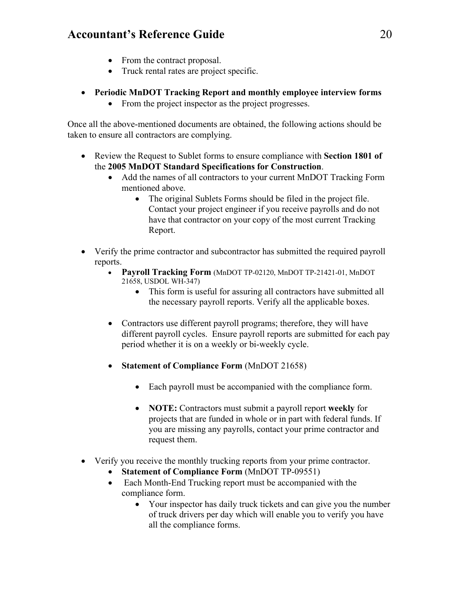- From the contract proposal.
- Truck rental rates are project specific.
- **Periodic MnDOT Tracking Report and monthly employee interview forms**
	- From the project inspector as the project progresses.

Once all the above-mentioned documents are obtained, the following actions should be taken to ensure all contractors are complying.

- Review the Request to Sublet forms to ensure compliance with **Section 1801 of**  the **2005 MnDOT Standard Specifications for Construction**.
	- Add the names of all contractors to your current MnDOT Tracking Form mentioned above.
		- The original Sublets Forms should be filed in the project file. Contact your project engineer if you receive payrolls and do not have that contractor on your copy of the most current Tracking Report.
- Verify the prime contractor and subcontractor has submitted the required payroll reports.
	- **Payroll Tracking Form** (MnDOT TP-02120, MnDOT TP-21421-01, MnDOT 21658, USDOL WH-347)
		- This form is useful for assuring all contractors have submitted all the necessary payroll reports. Verify all the applicable boxes.
	- Contractors use different payroll programs; therefore, they will have different payroll cycles. Ensure payroll reports are submitted for each pay period whether it is on a weekly or bi-weekly cycle.
	- **Statement of Compliance Form** (MnDOT 21658)
		- Each payroll must be accompanied with the compliance form.
		- **NOTE:** Contractors must submit a payroll report **weekly** for projects that are funded in whole or in part with federal funds. If you are missing any payrolls, contact your prime contractor and request them.
- Verify you receive the monthly trucking reports from your prime contractor.
	- **Statement of Compliance Form** (MnDOT TP-09551)
	- Each Month-End Trucking report must be accompanied with the compliance form.
		- Your inspector has daily truck tickets and can give you the number of truck drivers per day which will enable you to verify you have all the compliance forms.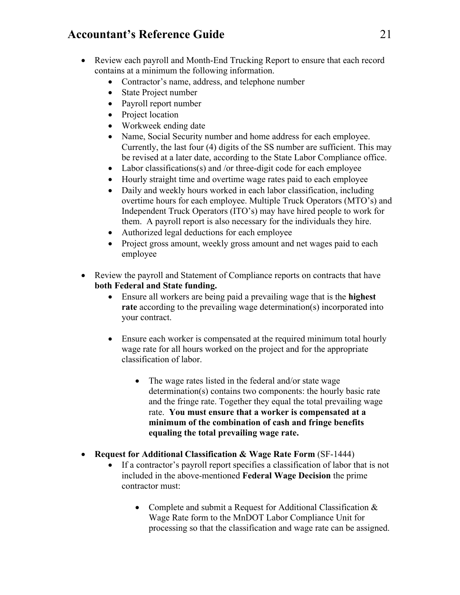- Review each payroll and Month-End Trucking Report to ensure that each record contains at a minimum the following information.
	- Contractor's name, address, and telephone number
	- State Project number
	- Payroll report number
	- Project location
	- Workweek ending date
	- Name, Social Security number and home address for each employee. Currently, the last four (4) digits of the SS number are sufficient. This may be revised at a later date, according to the State Labor Compliance office.
	- Labor classifications(s) and /or three-digit code for each employee
	- Hourly straight time and overtime wage rates paid to each employee
	- Daily and weekly hours worked in each labor classification, including overtime hours for each employee. Multiple Truck Operators (MTO's) and Independent Truck Operators (ITO's) may have hired people to work for them. A payroll report is also necessary for the individuals they hire.
	- Authorized legal deductions for each employee
	- Project gross amount, weekly gross amount and net wages paid to each employee
- Review the payroll and Statement of Compliance reports on contracts that have **both Federal and State funding.**
	- Ensure all workers are being paid a prevailing wage that is the **highest rate** according to the prevailing wage determination(s) incorporated into your contract.
	- Ensure each worker is compensated at the required minimum total hourly wage rate for all hours worked on the project and for the appropriate classification of labor.
		- The wage rates listed in the federal and/or state wage determination(s) contains two components: the hourly basic rate and the fringe rate. Together they equal the total prevailing wage rate. **You must ensure that a worker is compensated at a minimum of the combination of cash and fringe benefits equaling the total prevailing wage rate.**
- **Request for Additional Classification & Wage Rate Form** (SF-1444)
	- If a contractor's payroll report specifies a classification of labor that is not included in the above-mentioned **Federal Wage Decision** the prime contractor must:
		- Complete and submit a Request for Additional Classification & Wage Rate form to the MnDOT Labor Compliance Unit for processing so that the classification and wage rate can be assigned.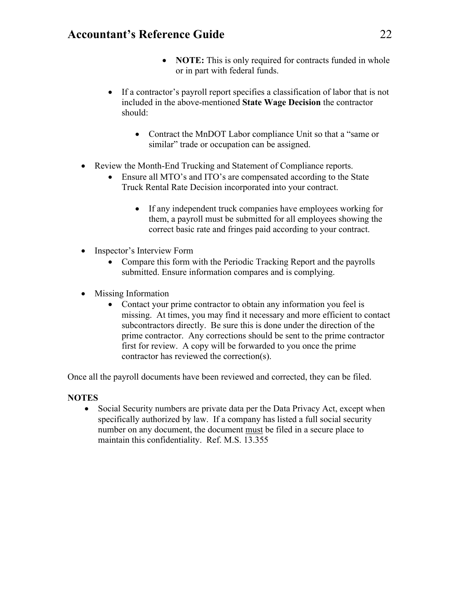- **NOTE:** This is only required for contracts funded in whole or in part with federal funds.
- If a contractor's payroll report specifies a classification of labor that is not included in the above-mentioned **State Wage Decision** the contractor should:
	- Contract the MnDOT Labor compliance Unit so that a "same or similar" trade or occupation can be assigned.
- Review the Month-End Trucking and Statement of Compliance reports.
	- Ensure all MTO's and ITO's are compensated according to the State Truck Rental Rate Decision incorporated into your contract.
		- If any independent truck companies have employees working for them, a payroll must be submitted for all employees showing the correct basic rate and fringes paid according to your contract.
- Inspector's Interview Form
	- Compare this form with the Periodic Tracking Report and the payrolls submitted. Ensure information compares and is complying.
- Missing Information
	- Contact your prime contractor to obtain any information you feel is missing. At times, you may find it necessary and more efficient to contact subcontractors directly. Be sure this is done under the direction of the prime contractor. Any corrections should be sent to the prime contractor first for review. A copy will be forwarded to you once the prime contractor has reviewed the correction(s).

Once all the payroll documents have been reviewed and corrected, they can be filed.

#### **NOTES**

• Social Security numbers are private data per the Data Privacy Act, except when specifically authorized by law. If a company has listed a full social security number on any document, the document must be filed in a secure place to maintain this confidentiality. Ref. M.S. 13.355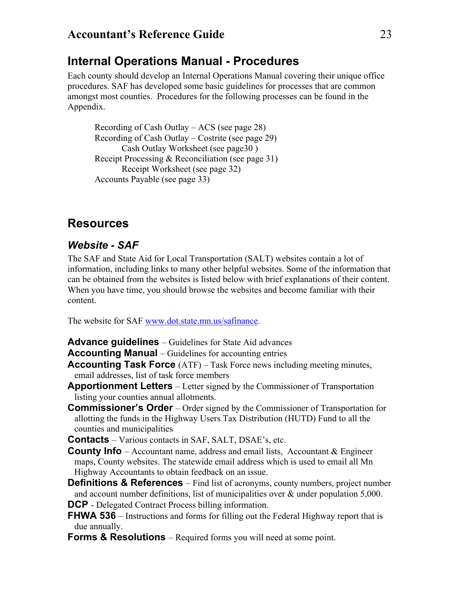## <span id="page-26-0"></span>**Internal Operations Manual - Procedures**

Each county should develop an Internal Operations Manual covering their unique office procedures. SAF has developed some basic guidelines for processes that are common amongst most counties. Procedures for the following processes can be found in the Appendix.

Recording of Cash Outlay – ACS (see page [28\)](#page-31-0) Recording of Cash Outlay – Costrite (see page [29\)](#page-32-0) Cash Outlay Worksheet (see pag[e30](#page-33-0) ) Receipt Processing & Reconciliation (see page [31\)](#page-34-0) Receipt Worksheet (see page [32\)](#page-35-0) Accounts Payable (see page [33\)](#page-36-0)

## <span id="page-26-1"></span>**Resources**

#### <span id="page-26-2"></span>*Website - SAF*

The SAF and State Aid for Local Transportation (SALT) websites contain a lot of information, including links to many other helpful websites. Some of the information that can be obtained from the websites is listed below with brief explanations of their content. When you have time, you should browse the websites and become familiar with their content.

The website for SAF [www.dot.state.mn.us/safinance.](http://www.dot.state.mn.us/safinance)

- <span id="page-26-3"></span>**Advance guidelines** – Guidelines for State Aid advances
- <span id="page-26-4"></span>**Accounting Manual** – Guidelines for accounting entries
- **Accounting Task Force** (ATF) Task Force news including meeting minutes, email addresses, list of task force members
- <span id="page-26-6"></span><span id="page-26-5"></span>**Apportionment Letters** – Letter signed by the Commissioner of Transportation listing your counties annual allotments.
- **Commissioner's Order**  Order signed by the Commissioner of Transportation for allotting the funds in the Highway Users Tax Distribution (HUTD) Fund to all the counties and municipalities

<span id="page-26-8"></span><span id="page-26-7"></span>**Contacts** – Various contacts in SAF, SALT, DSAE's, etc.

- <span id="page-26-11"></span><span id="page-26-10"></span><span id="page-26-9"></span>**County Info** – Accountant name, address and email lists, Accountant & Engineer maps, County websites. The statewide email address which is used to email all Mn Highway Accountants to obtain feedback on an issue.
- <span id="page-26-17"></span><span id="page-26-16"></span><span id="page-26-15"></span><span id="page-26-14"></span><span id="page-26-13"></span><span id="page-26-12"></span>**Definitions & References** – Find list of acronyms, county numbers, project number and account number definitions, list of municipalities over  $\&$  under population 5,000. **DCP** - Delegated Contract Process billing information.
- <span id="page-26-18"></span>**FHWA 536** – Instructions and forms for filling out the Federal Highway report that is due annually.
- <span id="page-26-20"></span><span id="page-26-19"></span>**Forms & Resolutions** – Required forms you will need at some point.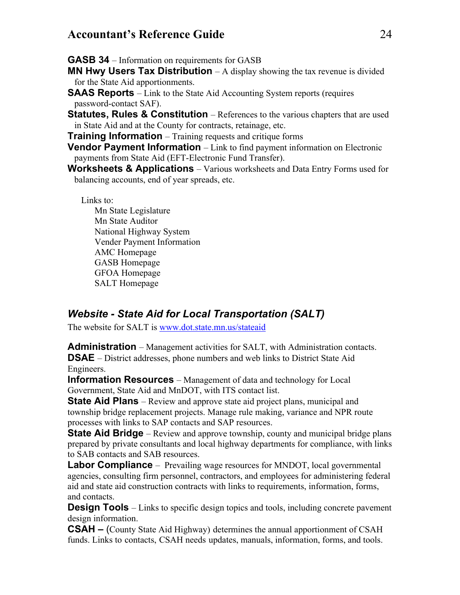<span id="page-27-0"></span>**GASB 34** – Information on requirements for GASB

<span id="page-27-1"></span>**MN Hwy Users Tax Distribution** – A display showing the tax revenue is divided for the State Aid apportionments.

- <span id="page-27-2"></span>**SAAS Reports** – Link to the State Aid Accounting System reports (requires password-contact SAF).
- **Statutes, Rules & Constitution** References to the various chapters that are used in State Aid and at the County for contracts, retainage, etc.

<span id="page-27-3"></span>**Training Information** – Training requests and critique forms

**Vendor Payment Information** – Link to find payment information on Electronic payments from State Aid (EFT-Electronic Fund Transfer).

**Worksheets & Applications** – Various worksheets and Data Entry Forms used for balancing accounts, end of year spreads, etc.

<span id="page-27-6"></span><span id="page-27-5"></span><span id="page-27-4"></span>Links to: Mn State Legislature Mn State Auditor National Highway System Vender Payment Information AMC Homepage GASB Homepage GFOA Homepage SALT Homepage

## <span id="page-27-7"></span>*Website - State Aid for Local Transportation (SALT)*

The website for SALT is [www.dot.state.mn.us/stateaid](http://www.dot.state.mn.us/stateaid)

**Administration** – Management activities for SALT, with Administration contacts. **DSAE** – District addresses, phone numbers and web links to District State Aid Engineers.

**Information Resources** – Management of data and technology for Local Government, State Aid and MnDOT, with ITS contact list.

**State Aid Plans** – Review and approve state aid project plans, municipal and township bridge replacement projects. Manage rule making, variance and NPR route processes with links to SAP contacts and SAP resources.

**State Aid Bridge** – Review and approve township, county and municipal bridge plans prepared by private consultants and local highway departments for compliance, with links to SAB contacts and SAB resources.

**Labor Compliance** – Prevailing wage resources for MNDOT, local governmental agencies, consulting firm personnel, contractors, and employees for administering federal aid and state aid construction contracts with links to requirements, information, forms, and contacts.

**Design Tools** – Links to specific design topics and tools, including concrete pavement design information.

**CSAH –** (County State Aid Highway) determines the annual apportionment of CSAH funds. Links to contacts, CSAH needs updates, manuals, information, forms, and tools.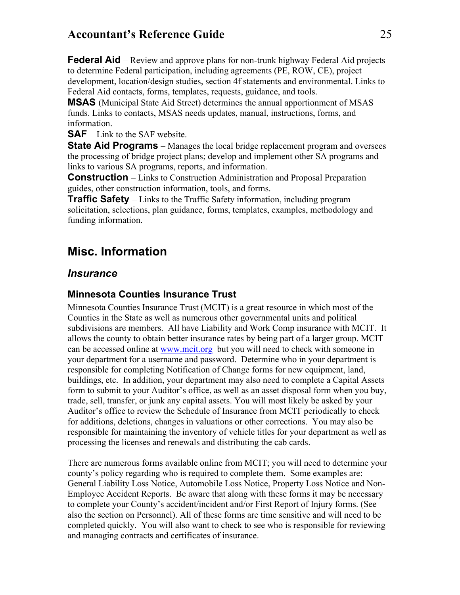**Federal Aid** – Review and approve plans for non-trunk highway Federal Aid projects to determine Federal participation, including agreements (PE, ROW, CE), project development, location/design studies, section 4f statements and environmental. Links to Federal Aid contacts, forms, templates, requests, guidance, and tools.

**MSAS** (Municipal State Aid Street) determines the annual apportionment of MSAS funds. Links to contacts, MSAS needs updates, manual, instructions, forms, and information.

**SAF** – Link to the SAF website.

**State Aid Programs** – Manages the local bridge replacement program and oversees the processing of bridge project plans; develop and implement other SA programs and links to various SA programs, reports, and information.

**Construction** – Links to Construction Administration and Proposal Preparation guides, other construction information, tools, and forms.

**Traffic Safety** – Links to the Traffic Safety information, including program solicitation, selections, plan guidance, forms, templates, examples, methodology and funding information.

## <span id="page-28-0"></span>**Misc. Information**

#### <span id="page-28-1"></span>*Insurance*

#### <span id="page-28-2"></span>**Minnesota Counties Insurance Trust**

Minnesota Counties Insurance Trust (MCIT) is a great resource in which most of the Counties in the State as well as numerous other governmental units and political subdivisions are members. All have Liability and Work Comp insurance with MCIT. It allows the county to obtain better insurance rates by being part of a larger group. MCIT can be accessed online at [www.mcit.org](http://www.mcit.org/) but you will need to check with someone in your department for a username and password. Determine who in your department is responsible for completing Notification of Change forms for new equipment, land, buildings, etc. In addition, your department may also need to complete a Capital Assets form to submit to your Auditor's office, as well as an asset disposal form when you buy, trade, sell, transfer, or junk any capital assets. You will most likely be asked by your Auditor's office to review the Schedule of Insurance from MCIT periodically to check for additions, deletions, changes in valuations or other corrections. You may also be responsible for maintaining the inventory of vehicle titles for your department as well as processing the licenses and renewals and distributing the cab cards.

There are numerous forms available online from MCIT; you will need to determine your county's policy regarding who is required to complete them. Some examples are: General Liability Loss Notice, Automobile Loss Notice, Property Loss Notice and Non-Employee Accident Reports. Be aware that along with these forms it may be necessary to complete your County's accident/incident and/or First Report of Injury forms. (See also the section on Personnel). All of these forms are time sensitive and will need to be completed quickly. You will also want to check to see who is responsible for reviewing and managing contracts and certificates of insurance.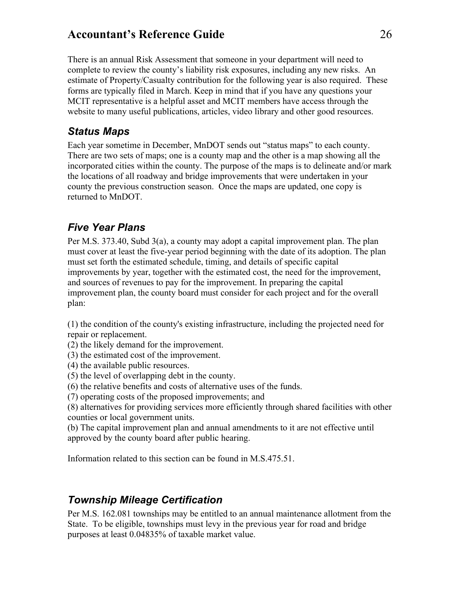There is an annual Risk Assessment that someone in your department will need to complete to review the county's liability risk exposures, including any new risks. An estimate of Property/Casualty contribution for the following year is also required. These forms are typically filed in March. Keep in mind that if you have any questions your MCIT representative is a helpful asset and MCIT members have access through the website to many useful publications, articles, video library and other good resources.

#### <span id="page-29-0"></span>*Status Maps*

Each year sometime in December, MnDOT sends out "status maps" to each county. There are two sets of maps; one is a county map and the other is a map showing all the incorporated cities within the county. The purpose of the maps is to delineate and/or mark the locations of all roadway and bridge improvements that were undertaken in your county the previous construction season. Once the maps are updated, one copy is returned to MnDOT.

## <span id="page-29-1"></span>*Five Year Plans*

Per M.S. 373.40, Subd 3(a), a county may adopt a capital improvement plan. The plan must cover at least the five-year period beginning with the date of its adoption. The plan must set forth the estimated schedule, timing, and details of specific capital improvements by year, together with the estimated cost, the need for the improvement, and sources of revenues to pay for the improvement. In preparing the capital improvement plan, the county board must consider for each project and for the overall plan:

(1) the condition of the county's existing infrastructure, including the projected need for repair or replacement.

- (2) the likely demand for the improvement.
- (3) the estimated cost of the improvement.
- (4) the available public resources.
- (5) the level of overlapping debt in the county.

(6) the relative benefits and costs of alternative uses of the funds.

(7) operating costs of the proposed improvements; and

(8) alternatives for providing services more efficiently through shared facilities with other counties or local government units.

(b) The capital improvement plan and annual amendments to it are not effective until approved by the county board after public hearing.

<span id="page-29-3"></span>Information related to this section can be found in M.S.475.51.

## <span id="page-29-2"></span>*Township Mileage Certification*

Per M.S. 162.081 townships may be entitled to an annual maintenance allotment from the State. To be eligible, townships must levy in the previous year for road and bridge purposes at least 0.04835% of taxable market value.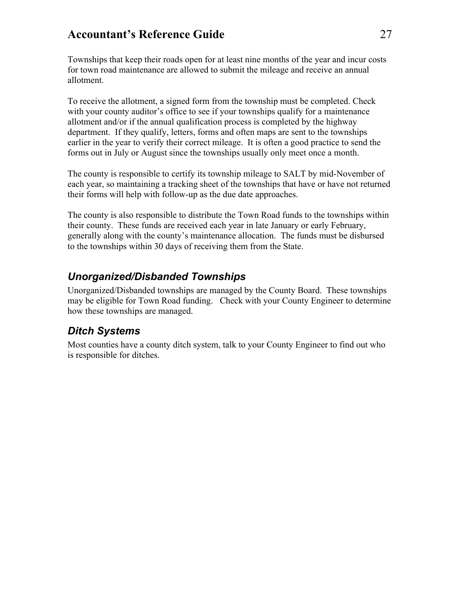Townships that keep their roads open for at least nine months of the year and incur costs for town road maintenance are allowed to submit the mileage and receive an annual allotment.

To receive the allotment, a signed form from the township must be completed. Check with your county auditor's office to see if your townships qualify for a maintenance allotment and/or if the annual qualification process is completed by the highway department. If they qualify, letters, forms and often maps are sent to the townships earlier in the year to verify their correct mileage. It is often a good practice to send the forms out in July or August since the townships usually only meet once a month.

The county is responsible to certify its township mileage to SALT by mid-November of each year, so maintaining a tracking sheet of the townships that have or have not returned their forms will help with follow-up as the due date approaches.

The county is also responsible to distribute the Town Road funds to the townships within their county. These funds are received each year in late January or early February, generally along with the county's maintenance allocation. The funds must be disbursed to the townships within 30 days of receiving them from the State.

#### <span id="page-30-0"></span>*Unorganized/Disbanded Townships*

Unorganized/Disbanded townships are managed by the County Board. These townships may be eligible for Town Road funding. Check with your County Engineer to determine how these townships are managed.

## <span id="page-30-1"></span>*Ditch Systems*

Most counties have a county ditch system, talk to your County Engineer to find out who is responsible for ditches.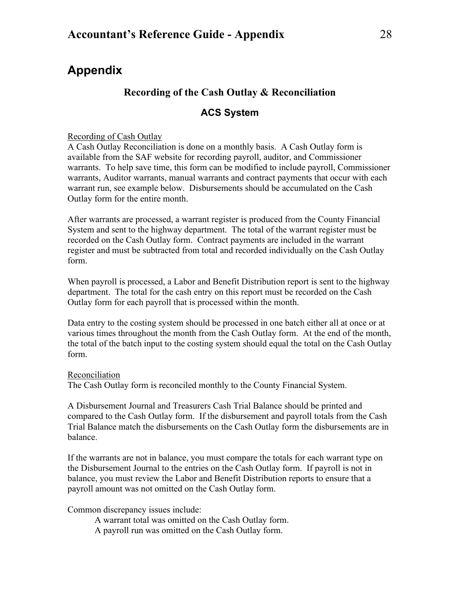## <span id="page-31-1"></span><span id="page-31-0"></span>**Appendix**

#### **Recording of the Cash Outlay & Reconciliation**

#### **ACS System**

<span id="page-31-2"></span>Recording of Cash Outlay

A Cash Outlay Reconciliation is done on a monthly basis. A Cash Outlay form is available from the SAF website for recording payroll, auditor, and Commissioner warrants. To help save time, this form can be modified to include payroll, Commissioner warrants, Auditor warrants, manual warrants and contract payments that occur with each warrant run, see example below. Disbursements should be accumulated on the Cash Outlay form for the entire month.

After warrants are processed, a warrant register is produced from the County Financial System and sent to the highway department. The total of the warrant register must be recorded on the Cash Outlay form. Contract payments are included in the warrant register and must be subtracted from total and recorded individually on the Cash Outlay form.

When payroll is processed, a Labor and Benefit Distribution report is sent to the highway department. The total for the cash entry on this report must be recorded on the Cash Outlay form for each payroll that is processed within the month.

Data entry to the costing system should be processed in one batch either all at once or at various times throughout the month from the Cash Outlay form. At the end of the month, the total of the batch input to the costing system should equal the total on the Cash Outlay form.

#### Reconciliation

The Cash Outlay form is reconciled monthly to the County Financial System.

A Disbursement Journal and Treasurers Cash Trial Balance should be printed and compared to the Cash Outlay form. If the disbursement and payroll totals from the Cash Trial Balance match the disbursements on the Cash Outlay form the disbursements are in balance.

If the warrants are not in balance, you must compare the totals for each warrant type on the Disbursement Journal to the entries on the Cash Outlay form. If payroll is not in balance, you must review the Labor and Benefit Distribution reports to ensure that a payroll amount was not omitted on the Cash Outlay form.

Common discrepancy issues include:

A warrant total was omitted on the Cash Outlay form.

A payroll run was omitted on the Cash Outlay form.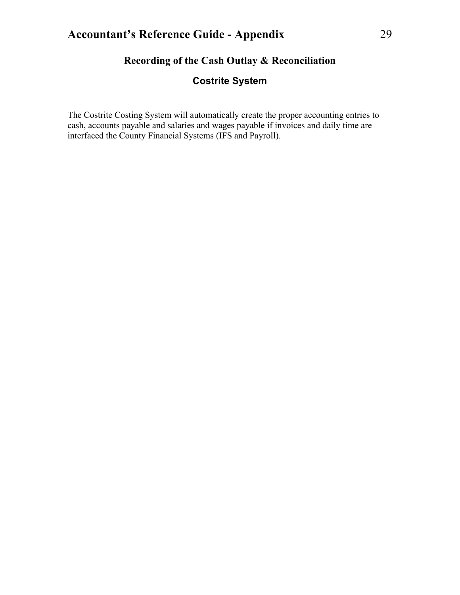## **Recording of the Cash Outlay & Reconciliation**

#### **Costrite System**

<span id="page-32-1"></span><span id="page-32-0"></span>The Costrite Costing System will automatically create the proper accounting entries to cash, accounts payable and salaries and wages payable if invoices and daily time are interfaced the County Financial Systems (IFS and Payroll).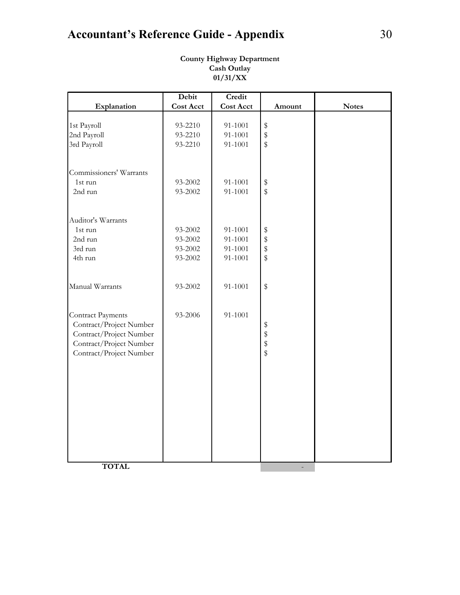## <span id="page-33-0"></span>**Accountant's Reference Guide - Appendix** 30

|                          | Debit            | Credit           |                         |              |
|--------------------------|------------------|------------------|-------------------------|--------------|
| Explanation              | <b>Cost Acct</b> | <b>Cost Acct</b> | Amount                  | <b>Notes</b> |
|                          |                  |                  |                         |              |
| 1st Payroll              | 93-2210          | 91-1001          | $\,$                    |              |
| 2nd Payroll              | 93-2210          | 91-1001          | \$                      |              |
| 3rd Payroll              | 93-2210          | 91-1001          | $\frac{1}{2}$           |              |
| Commissioners' Warrants  |                  |                  |                         |              |
| 1st run                  | 93-2002          | 91-1001          | $\,$                    |              |
| 2nd run                  | 93-2002          | 91-1001          | $\sqrt[6]{\frac{1}{2}}$ |              |
| Auditor's Warrants       |                  |                  |                         |              |
| 1st run                  | 93-2002          | 91-1001          | $\,$                    |              |
| 2nd run                  | 93-2002          | 91-1001          | \$                      |              |
| 3rd run                  | 93-2002          | 91-1001          | \$                      |              |
|                          |                  |                  |                         |              |
| 4th run                  | 93-2002          | 91-1001          | $\sqrt[6]{\frac{1}{2}}$ |              |
| Manual Warrants          | 93-2002          | 91-1001          | \$                      |              |
| <b>Contract Payments</b> | 93-2006          | 91-1001          |                         |              |
| Contract/Project Number  |                  |                  |                         |              |
| Contract/Project Number  |                  |                  | \$\$\$\$                |              |
| Contract/Project Number  |                  |                  |                         |              |
| Contract/Project Number  |                  |                  |                         |              |
|                          |                  |                  |                         |              |
|                          |                  |                  |                         |              |
|                          |                  |                  |                         |              |
|                          |                  |                  |                         |              |
|                          |                  |                  |                         |              |
|                          |                  |                  |                         |              |
|                          |                  |                  |                         |              |
|                          |                  |                  |                         |              |
|                          |                  |                  |                         |              |
|                          |                  |                  |                         |              |
|                          |                  |                  |                         |              |
| <b>TOTAL</b>             |                  |                  |                         |              |

**County Highway Department Cash Outlay 01/31/XX**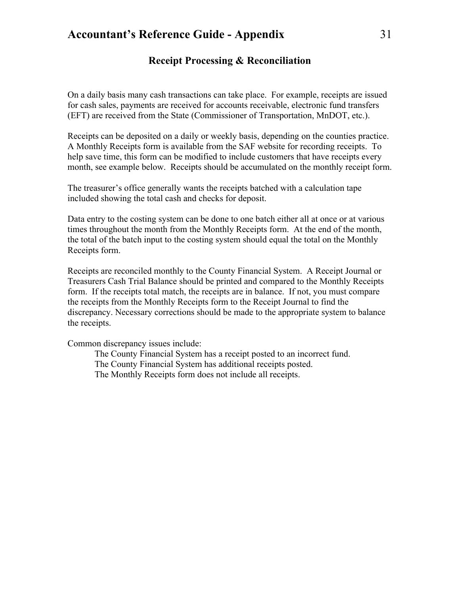#### **Receipt Processing & Reconciliation**

<span id="page-34-0"></span>On a daily basis many cash transactions can take place. For example, receipts are issued for cash sales, payments are received for accounts receivable, electronic fund transfers (EFT) are received from the State (Commissioner of Transportation, MnDOT, etc.).

Receipts can be deposited on a daily or weekly basis, depending on the counties practice. A Monthly Receipts form is available from the SAF website for recording receipts. To help save time, this form can be modified to include customers that have receipts every month, see example below. Receipts should be accumulated on the monthly receipt form.

The treasurer's office generally wants the receipts batched with a calculation tape included showing the total cash and checks for deposit.

Data entry to the costing system can be done to one batch either all at once or at various times throughout the month from the Monthly Receipts form. At the end of the month, the total of the batch input to the costing system should equal the total on the Monthly Receipts form.

Receipts are reconciled monthly to the County Financial System. A Receipt Journal or Treasurers Cash Trial Balance should be printed and compared to the Monthly Receipts form. If the receipts total match, the receipts are in balance. If not, you must compare the receipts from the Monthly Receipts form to the Receipt Journal to find the discrepancy. Necessary corrections should be made to the appropriate system to balance the receipts.

Common discrepancy issues include:

The County Financial System has a receipt posted to an incorrect fund. The County Financial System has additional receipts posted. The Monthly Receipts form does not include all receipts.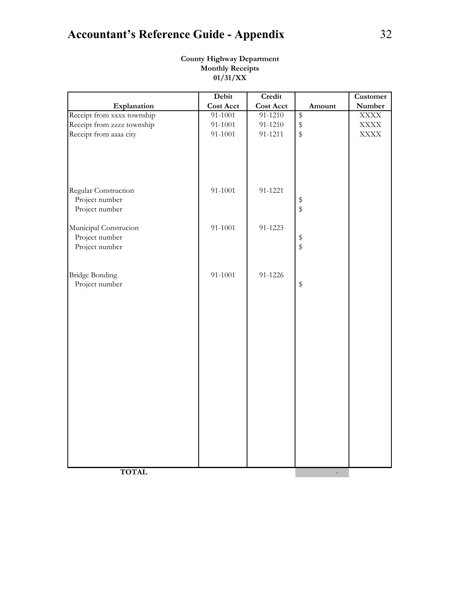## <span id="page-35-0"></span>**Accountant's Reference Guide - Appendix** 32

|                                                          | Debit            | Credit           |                           | Customer    |
|----------------------------------------------------------|------------------|------------------|---------------------------|-------------|
| Explanation                                              | <b>Cost Acct</b> | <b>Cost Acct</b> | Amount                    | Number      |
| Receipt from xxxx township                               | 91-1001          | 91-1210          | $\pmb{\mathcal{\hat{S}}}$ | <b>XXXX</b> |
| Receipt from zzzz township                               | 91-1001          | 91-1210          | $\,$                      | <b>XXXX</b> |
| Receipt from aaaa city                                   | 91-1001          | 91-1211          | \$                        | <b>XXXX</b> |
|                                                          |                  |                  |                           |             |
| Regular Construction<br>Project number<br>Project number | 91-1001          | 91-1221          | \$                        |             |
|                                                          |                  |                  |                           |             |
| Municipal Construcion                                    | 91-1001          | 91-1223          |                           |             |
| Project number                                           |                  |                  | \$                        |             |
| Project number                                           |                  |                  |                           |             |
| <b>Bridge Bonding</b>                                    | 91-1001          | 91-1226          |                           |             |
| Project number                                           |                  |                  | $\,$                      |             |
|                                                          |                  |                  |                           |             |
|                                                          |                  |                  |                           |             |
|                                                          |                  |                  |                           |             |
|                                                          |                  |                  |                           |             |
|                                                          |                  |                  |                           |             |
|                                                          |                  |                  |                           |             |
|                                                          |                  |                  |                           |             |
|                                                          |                  |                  |                           |             |
|                                                          |                  |                  |                           |             |
|                                                          |                  |                  |                           |             |
|                                                          |                  |                  |                           |             |
| <b>TOTAL</b>                                             |                  |                  |                           |             |

#### **County Highway Department Monthly Receipts 01/31/XX**